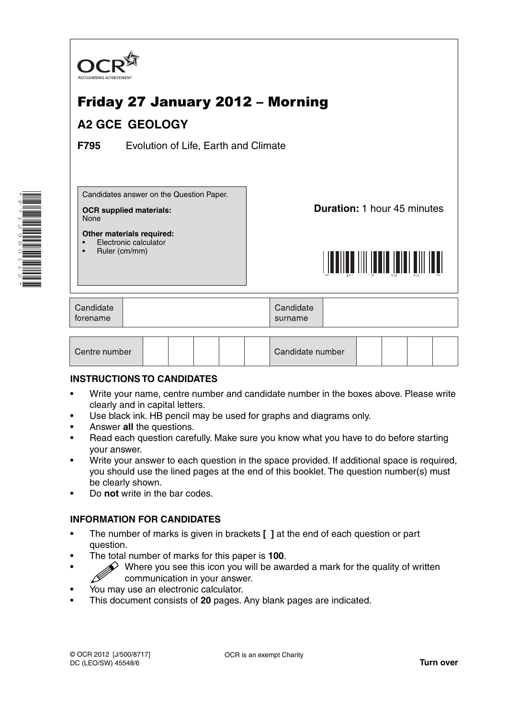

| Centre number | Candidate number |  |  |  |  |  |
|---------------|------------------|--|--|--|--|--|
|---------------|------------------|--|--|--|--|--|

### **INSTRUCTIONS TO CANDIDATES**

- Write your name, centre number and candidate number in the boxes above. Please write clearly and in capital letters.
- Use black ink. HB pencil may be used for graphs and diagrams only.
- Answer **all** the questions.

\*F712980112\*

- Read each question carefully. Make sure you know what you have to do before starting your answer.
- Write your answer to each question in the space provided. If additional space is required, you should use the lined pages at the end of this booklet. The question number(s) must be clearly shown.
- Do **not** write in the bar codes.

### **INFORMATION FOR CANDIDATES**

- The number of marks is given in brackets **[ ]** at the end of each question or part question.
- The total number of marks for this paper is **100**.
- Where you see this icon you will be awarded a mark for the quality of written communication in your answer.
- You may use an electronic calculator.
- This document consists of **20** pages. Any blank pages are indicated.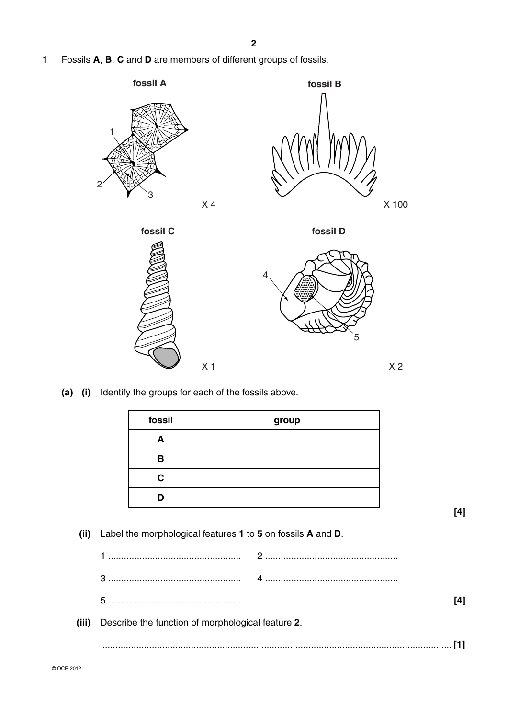**1** Fossils **A**, **B**, **C** and **D** are members of different groups of fossils.



 **(a) (i)** Identify the groups for each of the fossils above.

| fossil | group |
|--------|-------|
|        |       |
| в      |       |
| C      |       |
|        |       |

**[4]**

 **(ii)** Label the morphological features **1** to **5** on fossils **A** and **D**.

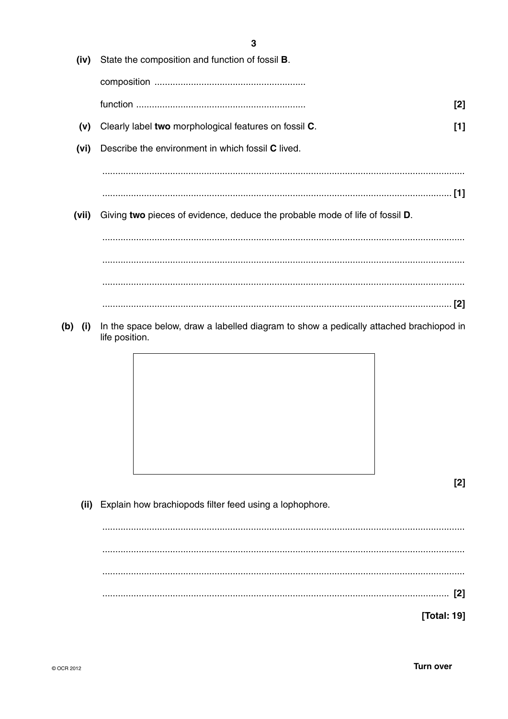|            | J                                                                                                        |       |
|------------|----------------------------------------------------------------------------------------------------------|-------|
| (iv)       | State the composition and function of fossil <b>B</b> .                                                  |       |
|            |                                                                                                          |       |
|            |                                                                                                          | [2]   |
| (v)        | Clearly label two morphological features on fossil C.                                                    | $[1]$ |
| (vi)       | Describe the environment in which fossil C lived.                                                        |       |
|            |                                                                                                          |       |
|            |                                                                                                          |       |
| (vii)      | Giving two pieces of evidence, deduce the probable mode of life of fossil D.                             |       |
|            |                                                                                                          |       |
|            |                                                                                                          |       |
|            |                                                                                                          |       |
|            |                                                                                                          |       |
|            |                                                                                                          |       |
| (b)<br>(i) | In the space below, draw a labelled diagram to show a pedically attached brachiopod in<br>life position. |       |
|            |                                                                                                          |       |
|            |                                                                                                          |       |
|            |                                                                                                          |       |
|            |                                                                                                          |       |
|            |                                                                                                          |       |
|            |                                                                                                          |       |
|            |                                                                                                          | [2]   |
| (ii)       | Explain how brachiopods filter feed using a lophophore.                                                  |       |
|            |                                                                                                          |       |

Turn over

[Total: 19]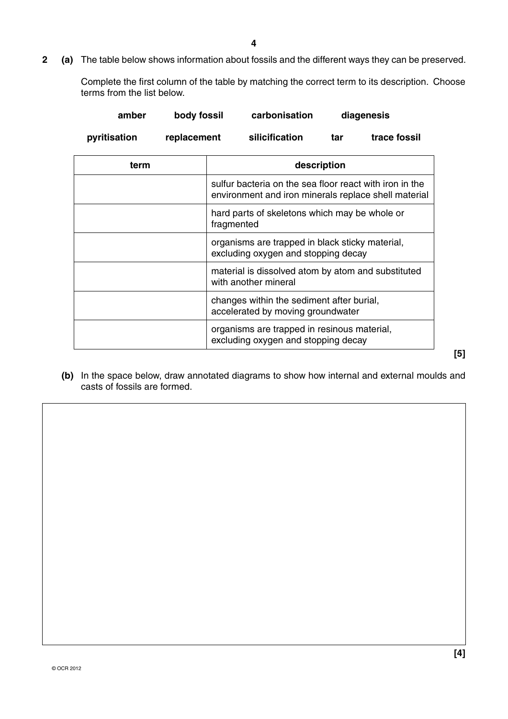**2 (a)** The table below shows information about fossils and the different ways they can be preserved.

Complete the first column of the table by matching the correct term to its description. Choose terms from the list below.

| amber        | body fossil |            | carbonisation                                                                                                   |             | diagenesis   |
|--------------|-------------|------------|-----------------------------------------------------------------------------------------------------------------|-------------|--------------|
| pyritisation | replacement |            | silicification                                                                                                  | tar         | trace fossil |
| term         |             |            |                                                                                                                 | description |              |
|              |             |            | sulfur bacteria on the sea floor react with iron in the<br>environment and iron minerals replace shell material |             |              |
|              |             | fragmented | hard parts of skeletons which may be whole or                                                                   |             |              |
|              |             |            | organisms are trapped in black sticky material,<br>excluding oxygen and stopping decay                          |             |              |
|              |             |            | material is dissolved atom by atom and substituted<br>with another mineral                                      |             |              |
|              |             |            | changes within the sediment after burial,<br>accelerated by moving groundwater                                  |             |              |
|              |             |            | organisms are trapped in resinous material,<br>excluding oxygen and stopping decay                              |             |              |
|              |             |            |                                                                                                                 |             |              |

 **(b)** In the space below, draw annotated diagrams to show how internal and external moulds and casts of fossils are formed.

**[5]**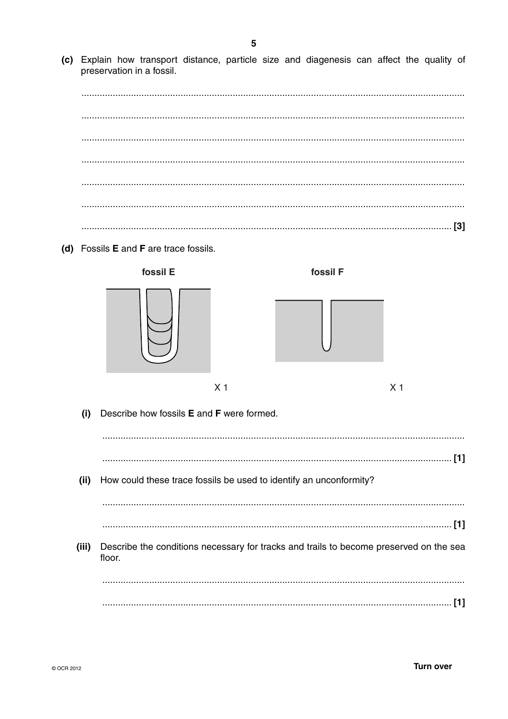(c) Explain how transport distance, particle size and diagenesis can affect the quality of preservation in a fossil.

(d) Fossils E and F are trace fossils.

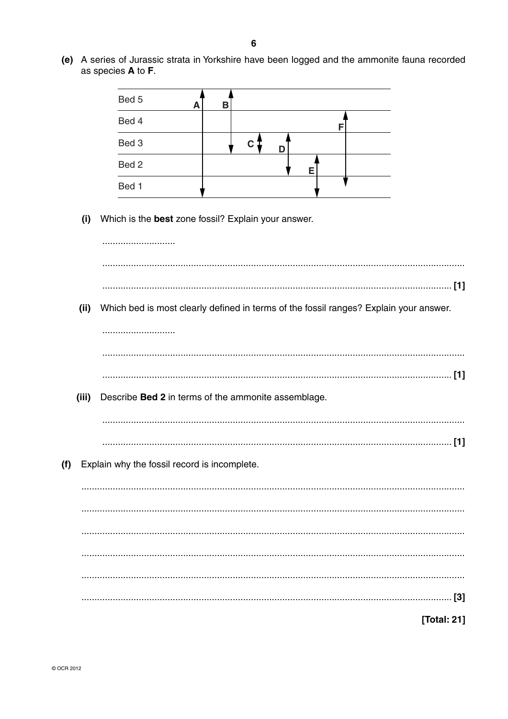as species A to F. Bed 5 B A Bed 4 F Bed 3  $\mathsf{c}$  1 D Bed<sub>2</sub> Е Bed 1 (i) Which is the best zone fossil? Explain your answer. (ii) Which bed is most clearly defined in terms of the fossil ranges? Explain your answer.  $(iii)$ Describe Bed 2 in terms of the ammonite assemblage. (f) Explain why the fossil record is incomplete. [Total: 21]

(e) A series of Jurassic strata in Yorkshire have been logged and the ammonite fauna recorded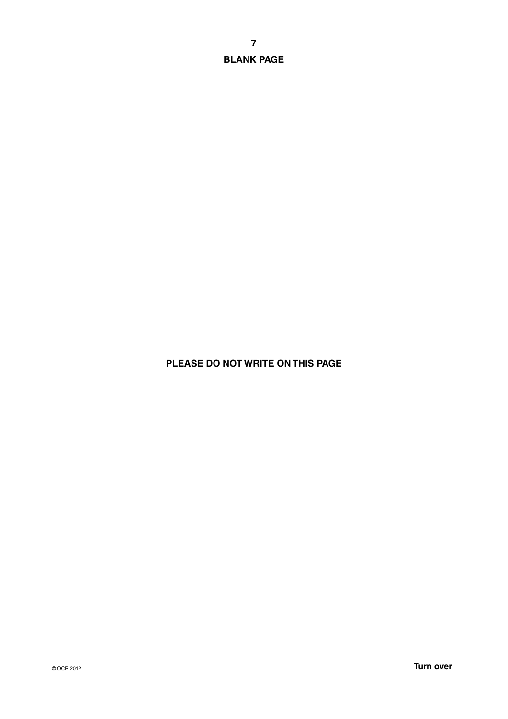**BLANK PAGE**

## **PLEASE DO NOT WRITE ON THIS PAGE**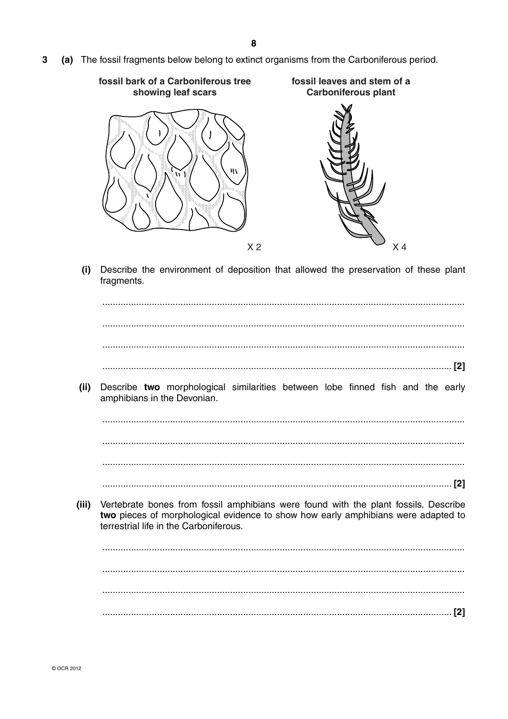$\mathbf{3}$ (a) The fossil fragments below belong to extinct organisms from the Carboniferous period.



Describe the environment of deposition that allowed the preservation of these plant  $(i)$ fragments.

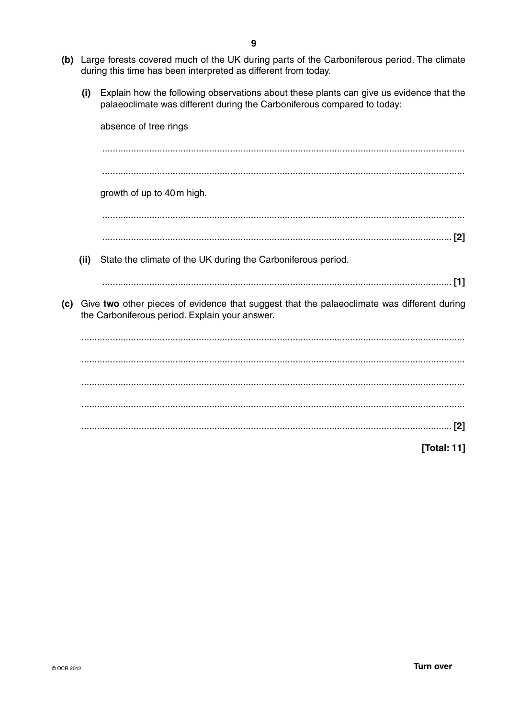- (b) Large forests covered much of the UK during parts of the Carboniferous period. The climate during this time has been interpreted as different from today.
	- (i) Explain how the following observations about these plants can give us evidence that the palaeoclimate was different during the Carboniferous compared to today:

|     |      | absence of tree rings                                                                                                                        |
|-----|------|----------------------------------------------------------------------------------------------------------------------------------------------|
|     |      |                                                                                                                                              |
|     |      |                                                                                                                                              |
|     |      | growth of up to 40m high.                                                                                                                    |
|     |      |                                                                                                                                              |
|     |      |                                                                                                                                              |
|     | (ii) | State the climate of the UK during the Carboniferous period.                                                                                 |
|     |      | $[1]$                                                                                                                                        |
| (c) |      | Give two other pieces of evidence that suggest that the palaeoclimate was different during<br>the Carboniferous period. Explain your answer. |
|     |      |                                                                                                                                              |
|     |      |                                                                                                                                              |
|     |      |                                                                                                                                              |
|     |      |                                                                                                                                              |
|     |      | $[2]$                                                                                                                                        |
|     |      | [Total: 11]                                                                                                                                  |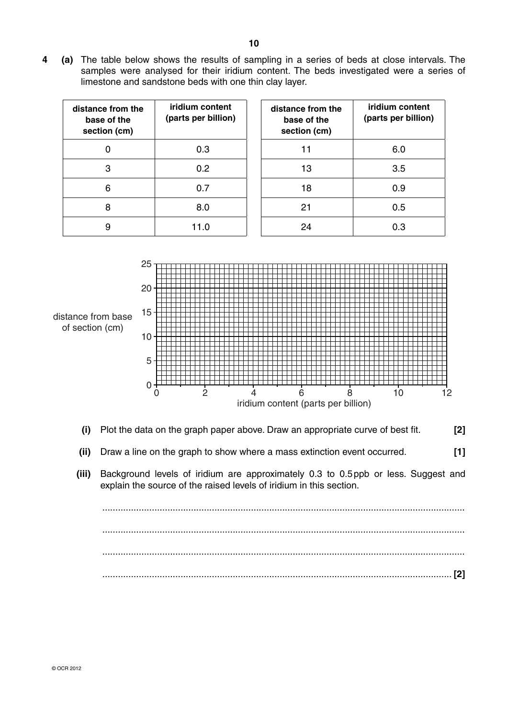**4 (a)** The table below shows the results of sampling in a series of beds at close intervals. The samples were analysed for their iridium content. The beds investigated were a series of limestone and sandstone beds with one thin clay layer.

| distance from the<br>base of the<br>section (cm) | iridium content<br>(parts per billion) | distance from the<br>base of the<br>section (cm) | iridium content<br>(parts per billion) |
|--------------------------------------------------|----------------------------------------|--------------------------------------------------|----------------------------------------|
| 0                                                | 0.3                                    | 11                                               | 6.0                                    |
| 3                                                | 0.2                                    | 13                                               | 3.5                                    |
| 6                                                | 0.7                                    | 18                                               | 0.9                                    |
| 8                                                | 8.0                                    | 21                                               | 0.5                                    |
| 9                                                | 11.0                                   | 24                                               | 0.3                                    |
|                                                  |                                        |                                                  |                                        |



- **(i)** Plot the data on the graph paper above. Draw an appropriate curve of best fit. **[2]**
- **(ii)** Draw a line on the graph to show where a mass extinction event occurred. **[1]**
- **(iii)** Background levels of iridium are approximately 0.3 to 0.5 ppb or less. Suggest and explain the source of the raised levels of iridium in this section.

 ........................................................................................................................................... ........................................................................................................................................... ........................................................................................................................................... ...................................................................................................................................... **[2]**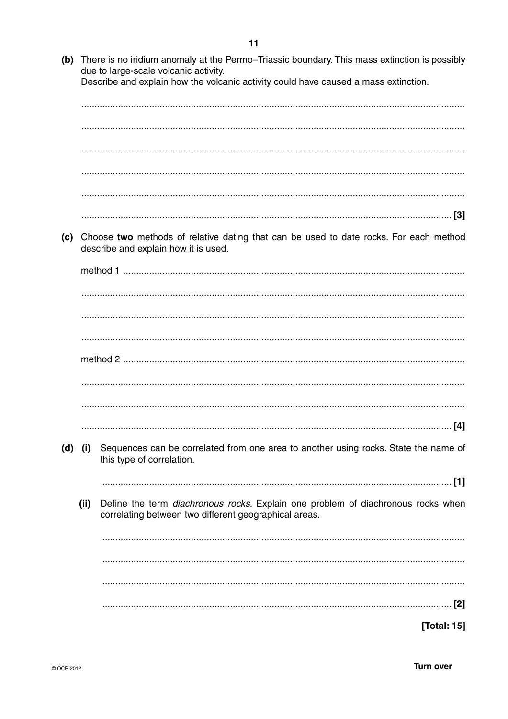(b) There is no iridium anomaly at the Permo–Triassic boundary. This mass extinction is possibly due to large-scale volcanic activity. Describe and explain how the volcanic activity could have caused a mass extinction. (c) Choose two methods of relative dating that can be used to date rocks. For each method describe and explain how it is used.  $(d)$  (i) Sequences can be correlated from one area to another using rocks. State the name of this type of correlation. Define the term diachronous rocks. Explain one problem of diachronous rocks when  $(ii)$ correlating between two different geographical areas. [Total: 15]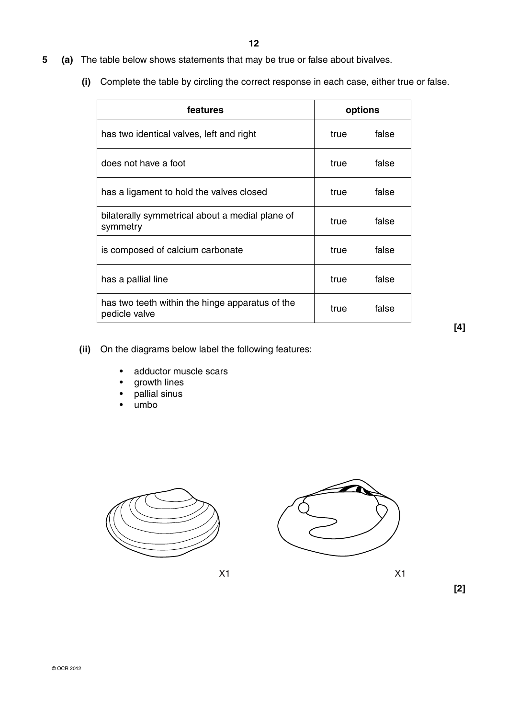- **5 (a)** The table below shows statements that may be true or false about bivalves.
	- **(i)** Complete the table by circling the correct response in each case, either true or false.

| features                                                         |      | options |
|------------------------------------------------------------------|------|---------|
| has two identical valves, left and right                         | true | false   |
| does not have a foot                                             | true | false   |
| has a ligament to hold the valves closed                         | true | false   |
| bilaterally symmetrical about a medial plane of<br>symmetry      | true | false   |
| is composed of calcium carbonate                                 | true | false   |
| has a pallial line                                               | true | false   |
| has two teeth within the hinge apparatus of the<br>pedicle valve | true | false   |

**[4]**

- **(ii)** On the diagrams below label the following features:
	- adductor muscle scars
	- growth lines
	- pallial sinus
	- umbo





 $X1$  X1

**[2]**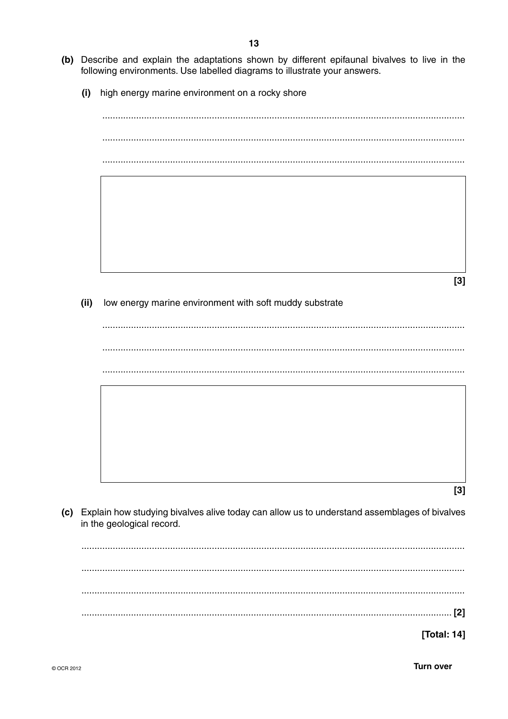- (b) Describe and explain the adaptations shown by different epifaunal bivalves to live in the following environments. Use labelled diagrams to illustrate your answers.
	- $(i)$ high energy marine environment on a rocky shore

 $[3]$  $(ii)$ low energy marine environment with soft muddy substrate  $[3]$ (c) Explain how studying bivalves alive today can allow us to understand assemblages of bivalves in the geological record. [Total: 14]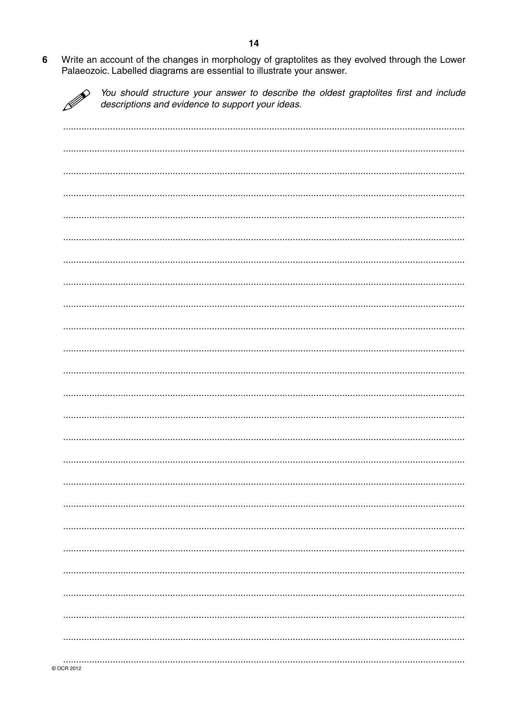Write an account of the changes in morphology of graptolites as they evolved through the Lower  $6\phantom{a}$ Palaeozoic. Labelled diagrams are essential to illustrate your answer.

 $\mathscr{D}$ You should structure your answer to describe the oldest graptolites first and include descriptions and evidence to support your ideas.

| COCR 2012 |  |
|-----------|--|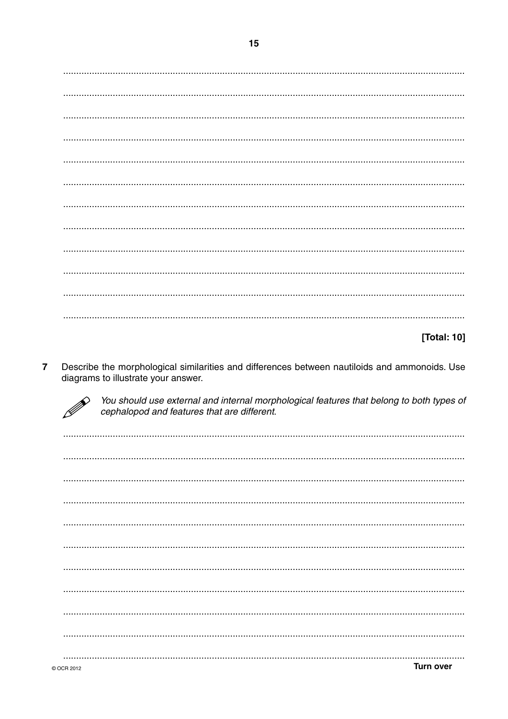## [Total: 10]

Describe the morphological similarities and differences between nautiloids and ammonoids. Use  $\overline{7}$ diagrams to illustrate your answer.



You should use external and internal morphological features that belong to both types of cephalopod and features that are different.

**Turn over** © OCR 2012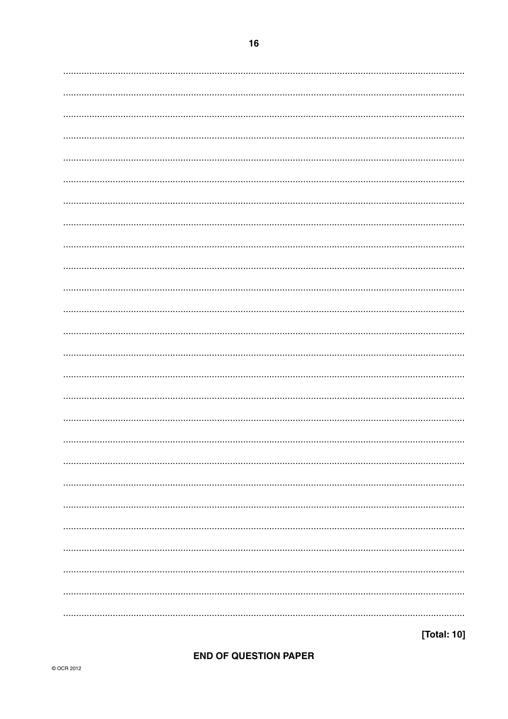# OF QUESTIO

[Total: 10]

|  |  | <b>END OF QUESTION PAPER</b> |  |
|--|--|------------------------------|--|
|  |  |                              |  |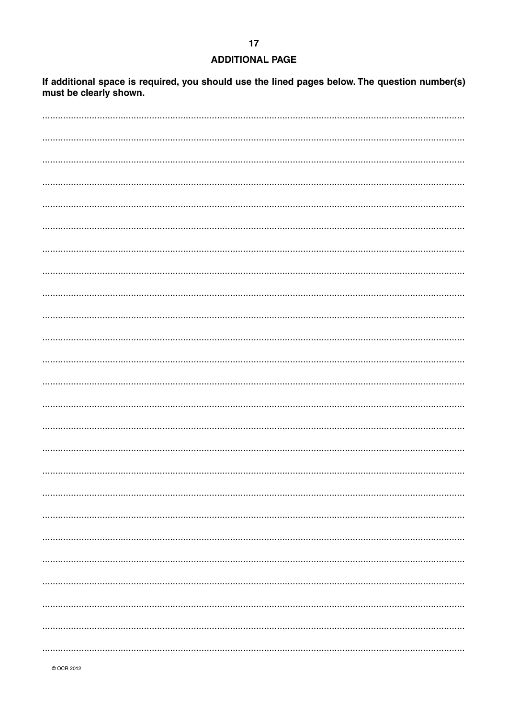#### **ADDITIONAL PAGE**

If additional space is required, you should use the lined pages below. The question number(s) must be clearly shown.

© OCR 2012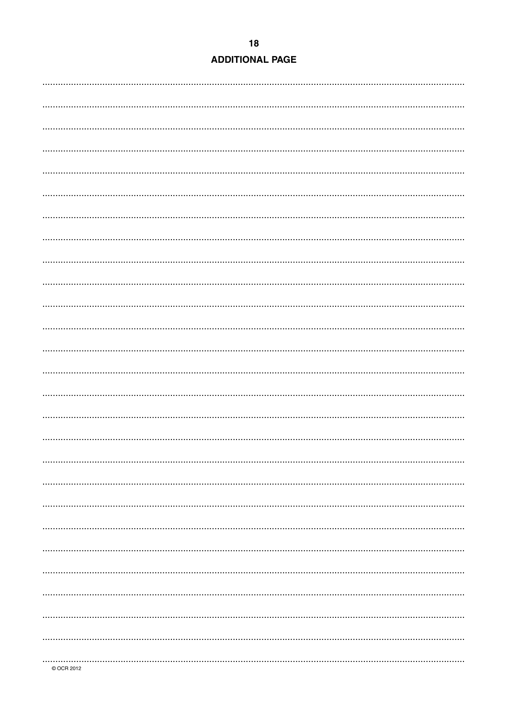|  | <b>ADDITIONAL PAGE</b> |
|--|------------------------|
|  |                        |

| COCR 2012 |  |
|-----------|--|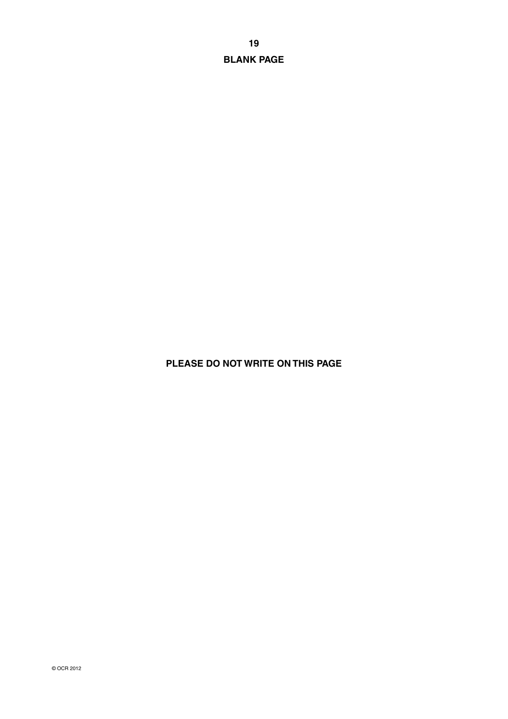**BLANK PAGE**

# **PLEASE DO NOT WRITE ON THIS PAGE**